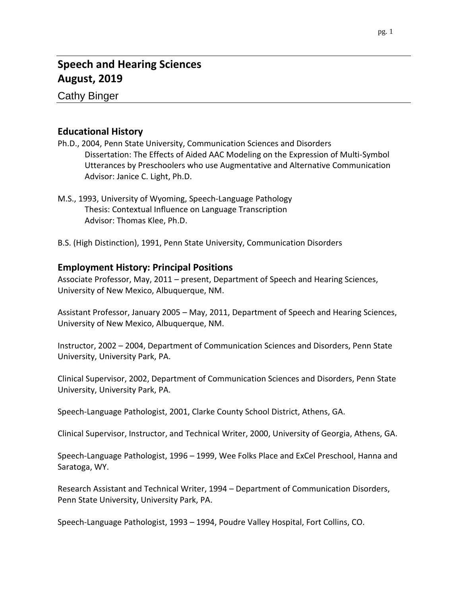# **Speech and Hearing Sciences August, 2019**

Cathy Binger

# **Educational History**

- Ph.D., 2004, Penn State University, Communication Sciences and Disorders Dissertation: The Effects of Aided AAC Modeling on the Expression of Multi-Symbol Utterances by Preschoolers who use Augmentative and Alternative Communication Advisor: Janice C. Light, Ph.D.
- M.S., 1993, University of Wyoming, Speech-Language Pathology Thesis: Contextual Influence on Language Transcription Advisor: Thomas Klee, Ph.D.
- B.S. (High Distinction), 1991, Penn State University, Communication Disorders

# **Employment History: Principal Positions**

Associate Professor, May, 2011 – present, Department of Speech and Hearing Sciences, University of New Mexico, Albuquerque, NM.

Assistant Professor, January 2005 – May, 2011, Department of Speech and Hearing Sciences, University of New Mexico, Albuquerque, NM.

Instructor, 2002 – 2004, Department of Communication Sciences and Disorders, Penn State University, University Park, PA.

Clinical Supervisor, 2002, Department of Communication Sciences and Disorders, Penn State University, University Park, PA.

Speech-Language Pathologist, 2001, Clarke County School District, Athens, GA.

Clinical Supervisor, Instructor, and Technical Writer, 2000, University of Georgia, Athens, GA.

Speech-Language Pathologist, 1996 – 1999, Wee Folks Place and ExCel Preschool, Hanna and Saratoga, WY.

Research Assistant and Technical Writer, 1994 – Department of Communication Disorders, Penn State University, University Park, PA.

Speech-Language Pathologist, 1993 – 1994, Poudre Valley Hospital, Fort Collins, CO.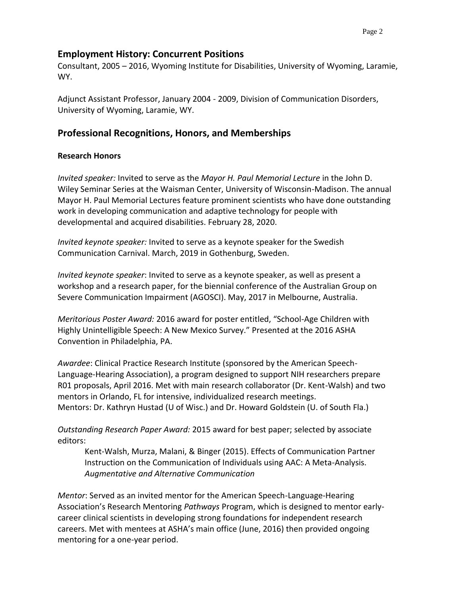### **Employment History: Concurrent Positions**

Consultant, 2005 – 2016, Wyoming Institute for Disabilities, University of Wyoming, Laramie, WY.

Adjunct Assistant Professor, January 2004 - 2009, Division of Communication Disorders, University of Wyoming, Laramie, WY.

# **Professional Recognitions, Honors, and Memberships**

### **Research Honors**

*Invited speaker:* Invited to serve as the *Mayor H. Paul Memorial Lecture* in the John D. Wiley Seminar Series at the Waisman Center, University of Wisconsin-Madison. The annual Mayor H. Paul Memorial Lectures feature prominent scientists who have done outstanding work in developing communication and adaptive technology for people with developmental and acquired disabilities. February 28, 2020.

*Invited keynote speaker:* Invited to serve as a keynote speaker for the Swedish Communication Carnival. March, 2019 in Gothenburg, Sweden.

*Invited keynote speaker*: Invited to serve as a keynote speaker, as well as present a workshop and a research paper, for the biennial conference of the Australian Group on Severe Communication Impairment (AGOSCI). May, 2017 in Melbourne, Australia.

*Meritorious Poster Award:* 2016 award for poster entitled, "School-Age Children with Highly Unintelligible Speech: A New Mexico Survey." Presented at the 2016 ASHA Convention in Philadelphia, PA.

*Awardee*: Clinical Practice Research Institute (sponsored by the American Speech-Language-Hearing Association), a program designed to support NIH researchers prepare R01 proposals, April 2016. Met with main research collaborator (Dr. Kent-Walsh) and two mentors in Orlando, FL for intensive, individualized research meetings. Mentors: Dr. Kathryn Hustad (U of Wisc.) and Dr. Howard Goldstein (U. of South Fla.)

*Outstanding Research Paper Award:* 2015 award for best paper; selected by associate editors:

Kent-Walsh, Murza, Malani, & Binger (2015). Effects of Communication Partner Instruction on the Communication of Individuals using AAC: A Meta-Analysis. *Augmentative and Alternative Communication*

*Mentor*: Served as an invited mentor for the American Speech-Language-Hearing Association's Research Mentoring *Pathways* Program, which is designed to mentor earlycareer clinical scientists in developing strong foundations for independent research careers. Met with mentees at ASHA's main office (June, 2016) then provided ongoing mentoring for a one-year period.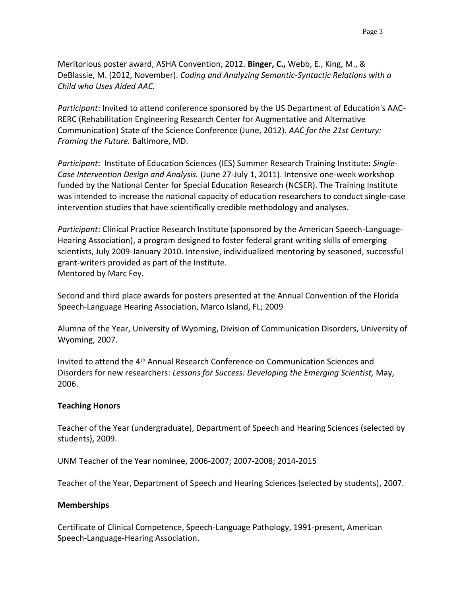Meritorious poster award, ASHA Convention, 2012. **Binger, C.,** Webb, E., King, M., & DeBlassie, M. (2012, November). *Coding and Analyzing Semantic-Syntactic Relations with a Child who Uses Aided AAC.*

*Participant*: Invited to attend conference sponsored by the US Department of Education's AAC-RERC (Rehabilitation Engineering Research Center for Augmentative and Alternative Communication) State of the Science Conference (June, 2012). *AAC for the 21st Century: Framing the Future.* Baltimore, MD.

*Participant*: Institute of Education Sciences (IES) Summer Research Training Institute: *Single-Case Intervention Design and Analysis.* (June 27-July 1, 2011). Intensive one-week workshop funded by the National Center for Special Education Research (NCSER). The Training Institute was intended to increase the national capacity of education researchers to conduct single-case intervention studies that have scientifically credible methodology and analyses.

*Participant*: Clinical Practice Research Institute (sponsored by the American Speech-Language-Hearing Association), a program designed to foster federal grant writing skills of emerging scientists, July 2009-January 2010. Intensive, individualized mentoring by seasoned, successful grant-writers provided as part of the Institute. Mentored by Marc Fey.

Second and third place awards for posters presented at the Annual Convention of the Florida Speech-Language Hearing Association, Marco Island, FL; 2009

Alumna of the Year, University of Wyoming, Division of Communication Disorders, University of Wyoming, 2007.

Invited to attend the 4th Annual Research Conference on Communication Sciences and Disorders for new researchers: *Lessons for Success: Developing the Emerging Scientist,* May, 2006.

### **Teaching Honors**

Teacher of the Year (undergraduate), Department of Speech and Hearing Sciences (selected by students), 2009.

UNM Teacher of the Year nominee, 2006-2007; 2007-2008; 2014-2015

Teacher of the Year, Department of Speech and Hearing Sciences (selected by students), 2007.

### **Memberships**

Certificate of Clinical Competence, Speech-Language Pathology, 1991-present, American Speech-Language-Hearing Association.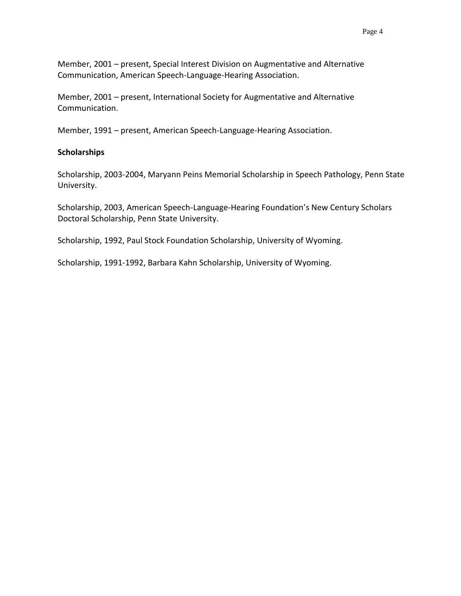Member, 2001 – present, Special Interest Division on Augmentative and Alternative Communication, American Speech-Language-Hearing Association.

Member, 2001 – present, International Society for Augmentative and Alternative Communication.

Member, 1991 – present, American Speech-Language-Hearing Association.

#### **Scholarships**

Scholarship, 2003-2004, Maryann Peins Memorial Scholarship in Speech Pathology, Penn State University.

Scholarship, 2003, American Speech-Language-Hearing Foundation's New Century Scholars Doctoral Scholarship, Penn State University.

Scholarship, 1992, Paul Stock Foundation Scholarship, University of Wyoming.

Scholarship, 1991-1992, Barbara Kahn Scholarship, University of Wyoming.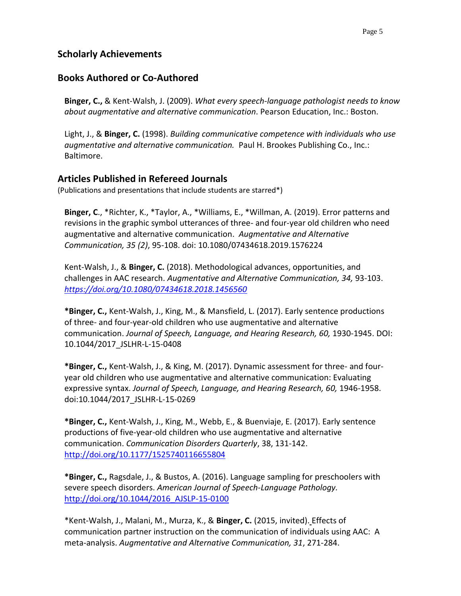# **Scholarly Achievements**

# **Books Authored or Co-Authored**

**Binger, C.,** & Kent-Walsh, J. (2009). *What every speech-language pathologist needs to know about augmentative and alternative communication*. Pearson Education, Inc.: Boston.

Light, J., & **Binger, C.** (1998). *Building communicative competence with individuals who use augmentative and alternative communication.* Paul H. Brookes Publishing Co., Inc.: Baltimore.

# **Articles Published in Refereed Journals**

(Publications and presentations that include students are starred\*)

**Binger, C**., \*Richter, K., \*Taylor, A., \*Williams, E., \*Willman, A. (2019). Error patterns and revisions in the graphic symbol utterances of three- and four-year old children who need augmentative and alternative communication. *Augmentative and Alternative Communication, 35 (2)*, 95-108. doi: 10.1080/07434618.2019.1576224

Kent-Walsh, J., & **Binger, C.** (2018). Methodological advances, opportunities, and challenges in AAC research. *Augmentative and Alternative Communication, 34,* 93-103. *<https://doi.org/10.1080/07434618.2018.1456560>*

**\*Binger, C.,** Kent-Walsh, J., King, M., & Mansfield, L. (2017). Early sentence productions of three- and four-year-old children who use augmentative and alternative communication. *Journal of Speech, Language, and Hearing Research, 60,* 1930-1945. DOI: [10.1044/2017\\_JSLHR-L-15-0408](https://doi.org/10.1044/2017_JSLHR-L-15-0408)

**\*Binger, C.,** Kent-Walsh, J., & King, M. (2017). Dynamic assessment for three- and fouryear old children who use augmentative and alternative communication: Evaluating expressive syntax. *Journal of Speech, Language, and Hearing Research, 60,* 1946-1958. doi:10.1044/2017\_JSLHR-L-15-0269

**\*Binger, C.,** Kent-Walsh, J., King, M., Webb, E., & Buenviaje, E. (2017). Early sentence productions of five-year-old children who use augmentative and alternative communication. *Communication Disorders Quarterly*, 38, 131-142. <http://doi.org/10.1177/1525740116655804>

**\*Binger, C.,** Ragsdale, J., & Bustos, A. (2016). Language sampling for preschoolers with severe speech disorders. *American Journal of Speech-Language Pathology.*  [http://doi.org/10.1044/2016\\_AJSLP-15-0100](http://doi.org/10.1044/2016_AJSLP-15-0100)

\*Kent-Walsh, J., Malani, M., Murza, K., & **Binger, C.** (2015, invited). Effects of communication partner instruction on the communication of individuals using AAC: A meta-analysis. *Augmentative and Alternative Communication, 31*, 271-284.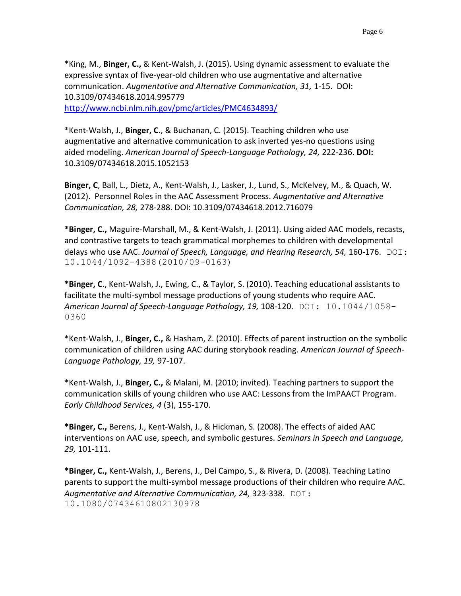\*King, M., **Binger, C.,** & Kent-Walsh, J. (2015). Using dynamic assessment to evaluate the expressive syntax of five-year-old children who use augmentative and alternative communication. *Augmentative and Alternative Communication, 31,* 1-15. DOI: 10.3109/07434618.2014.995779 <http://www.ncbi.nlm.nih.gov/pmc/articles/PMC4634893/>

\*Kent-Walsh, J., **Binger, C**., & Buchanan, C. (2015). Teaching children who use augmentative and alternative communication to ask inverted yes-no questions using aided modeling. *American Journal of Speech-Language Pathology, 24,* 222-236. **DOI:** 10.3109/07434618.2015.1052153

**Binger, C**, Ball, L., Dietz, A., Kent-Walsh, J., Lasker, J., Lund, S., McKelvey, M., & Quach, W. (2012). Personnel Roles in the AAC Assessment Process. *Augmentative and Alternative Communication, 28,* 278-288. DOI: 10.3109/07434618.2012.716079

**\*Binger, C.,** Maguire-Marshall, M., & Kent-Walsh, J. (2011). Using aided AAC models, recasts, and contrastive targets to teach grammatical morphemes to children with developmental delays who use AAC. *Journal of Speech, Language, and Hearing Research, 54,* 160-176. DOI: 10.1044/1092-4388(2010/09-0163)

**\*Binger, C**., Kent-Walsh, J., Ewing, C., & Taylor, S. (2010). Teaching educational assistants to facilitate the multi-symbol message productions of young students who require AAC. *American Journal of Speech-Language Pathology, 19,* 108-120. DOI: 10.1044/1058- 0360

\*Kent-Walsh, J., **Binger, C.,** & Hasham, Z. (2010). Effects of parent instruction on the symbolic communication of children using AAC during storybook reading. *American Journal of Speech-Language Pathology, 19,* 97-107.

\*Kent-Walsh, J., **Binger, C.,** & Malani, M. (2010; invited). Teaching partners to support the communication skills of young children who use AAC: Lessons from the ImPAACT Program. *Early Childhood Services, 4* (3), 155-170.

**\*Binger, C.,** Berens, J., Kent-Walsh, J., & Hickman, S. (2008). The effects of aided AAC interventions on AAC use, speech, and symbolic gestures. *Seminars in Speech and Language, 29,* 101-111.

**\*Binger, C.,** Kent-Walsh, J., Berens, J., Del Campo, S., & Rivera, D. (2008). Teaching Latino parents to support the multi-symbol message productions of their children who require AAC. *Augmentative and Alternative Communication, 24,* 323-338. DOI: 10.1080/07434610802130978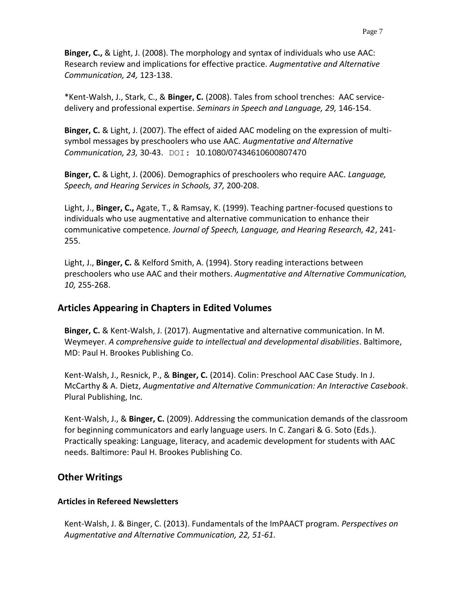**Binger, C.,** & Light, J. (2008). The morphology and syntax of individuals who use AAC: Research review and implications for effective practice. *Augmentative and Alternative Communication, 24,* 123-138.

\*Kent-Walsh, J., Stark, C., & **Binger, C.** (2008). Tales from school trenches: AAC servicedelivery and professional expertise. *Seminars in Speech and Language, 29,* 146-154.

**Binger, C.** & Light, J. (2007). The effect of aided AAC modeling on the expression of multisymbol messages by preschoolers who use AAC. *Augmentative and Alternative Communication, 23,* 30-43. DOI: 10.1080/07434610600807470

**Binger, C.** & Light, J. (2006). Demographics of preschoolers who require AAC. *Language, Speech, and Hearing Services in Schools, 37,* 200-208.

Light, J., **Binger, C.,** Agate, T., & Ramsay, K. (1999). Teaching partner-focused questions to individuals who use augmentative and alternative communication to enhance their communicative competence*. Journal of Speech, Language, and Hearing Research, 42*, 241- 255.

Light, J., **Binger, C.** & Kelford Smith, A. (1994). Story reading interactions between preschoolers who use AAC and their mothers. *Augmentative and Alternative Communication, 10,* 255-268.

# **Articles Appearing in Chapters in Edited Volumes**

**Binger, C.** & Kent-Walsh, J. (2017). Augmentative and alternative communication. In M. Weymeyer. *A comprehensive guide to intellectual and developmental disabilities*. Baltimore, MD: Paul H. Brookes Publishing Co.

Kent-Walsh, J., Resnick, P., & **Binger, C.** (2014). Colin: Preschool AAC Case Study. In J. McCarthy & A. Dietz, *Augmentative and Alternative Communication: An Interactive Casebook*. Plural Publishing, Inc.

Kent-Walsh, J., & **Binger, C.** (2009). Addressing the communication demands of the classroom for beginning communicators and early language users. In C. Zangari & G. Soto (Eds.). Practically speaking: Language, literacy, and academic development for students with AAC needs. Baltimore: Paul H. Brookes Publishing Co.

# **Other Writings**

# **Articles in Refereed Newsletters**

Kent-Walsh, J. & Binger, C. (2013). Fundamentals of the ImPAACT program. *Perspectives on Augmentative and Alternative Communication, 22, 51-61.*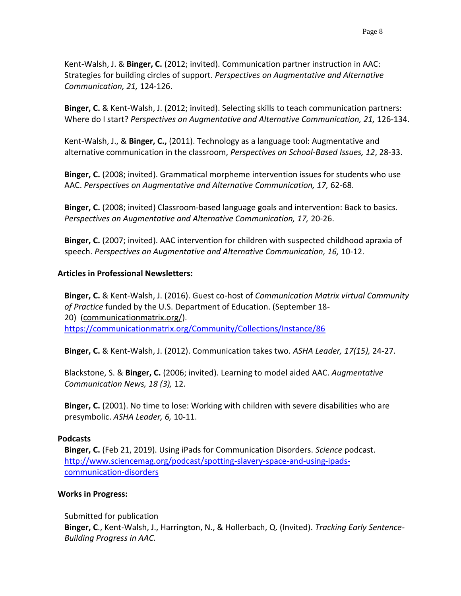Kent-Walsh, J. & **Binger, C.** (2012; invited). Communication partner instruction in AAC: Strategies for building circles of support. *Perspectives on Augmentative and Alternative Communication, 21,* 124-126.

**Binger, C.** & Kent-Walsh, J. (2012; invited). Selecting skills to teach communication partners: Where do I start? *Perspectives on Augmentative and Alternative Communication, 21,* 126-134.

Kent-Walsh, J., & **Binger, C.,** (2011). Technology as a language tool: Augmentative and alternative communication in the classroom, *Perspectives on School-Based Issues, 12*, 28-33.

**Binger, C.** (2008; invited). Grammatical morpheme intervention issues for students who use AAC. *Perspectives on Augmentative and Alternative Communication, 17,* 62-68.

**Binger, C.** (2008; invited) Classroom-based language goals and intervention: Back to basics. *Perspectives on Augmentative and Alternative Communication, 17,* 20-26.

**Binger, C.** (2007; invited). AAC intervention for children with suspected childhood apraxia of speech. Perspectives on Augmentative and Alternative Communication, 16, 10-12.

### **Articles in Professional Newsletters:**

**Binger, C.** & Kent-Walsh, J. (2016). Guest co-host of *Communication Matrix virtual Community of Practice* funded by the U.S. Department of Education. (September 18- 20) [\(communicationmatrix.org/\)](https://community.communicationmatrix.org/). <https://communicationmatrix.org/Community/Collections/Instance/86>

**Binger, C.** & Kent-Walsh, J. (2012). Communication takes two. *ASHA Leader, 17(15),* 24-27.

Blackstone, S. & **Binger, C.** (2006; invited). Learning to model aided AAC. *Augmentative Communication News, 18 (3),* 12.

**Binger, C.** (2001). No time to lose: Working with children with severe disabilities who are presymbolic. *ASHA Leader, 6,* 10-11.

#### **Podcasts**

**Binger, C.** (Feb 21, 2019). Using iPads for Communication Disorders. *Science* podcast. [http://www.sciencemag.org/podcast/spotting-slavery-space-and-using-ipads](http://www.sciencemag.org/podcast/spotting-slavery-space-and-using-ipads-communication-disorders)[communication-disorders](http://www.sciencemag.org/podcast/spotting-slavery-space-and-using-ipads-communication-disorders)

#### **Works in Progress:**

Submitted for publication **Binger, C**., Kent-Walsh, J., Harrington, N., & Hollerbach, Q. (Invited). *Tracking Early Sentence-Building Progress in AAC.*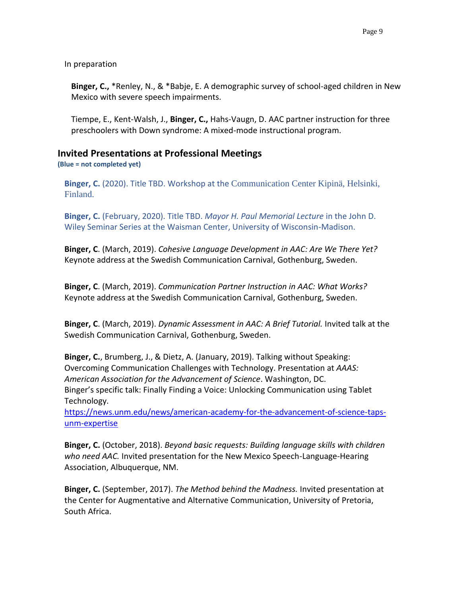In preparation

**Binger, C.,** \*Renley, N., & \*Babje, E. A demographic survey of school-aged children in New Mexico with severe speech impairments.

Tiempe, E., Kent-Walsh, J., **Binger, C.,** Hahs-Vaugn, D. AAC partner instruction for three preschoolers with Down syndrome: A mixed-mode instructional program.

# **Invited Presentations at Professional Meetings**

**(Blue = not completed yet)**

**Binger, C.** (2020). Title TBD. Workshop at the Communication Center Kipinä, Helsinki, Finland.

**Binger, C.** (February, 2020). Title TBD. *Mayor H. Paul Memorial Lecture* in the John D. Wiley Seminar Series at the Waisman Center, University of Wisconsin-Madison.

**Binger, C**. (March, 2019). *Cohesive Language Development in AAC: Are We There Yet?*  Keynote address at the Swedish Communication Carnival, Gothenburg, Sweden.

**Binger, C**. (March, 2019). *Communication Partner Instruction in AAC: What Works?*  Keynote address at the Swedish Communication Carnival, Gothenburg, Sweden.

**Binger, C**. (March, 2019). *Dynamic Assessment in AAC: A Brief Tutorial.* Invited talk at the Swedish Communication Carnival, Gothenburg, Sweden.

**Binger, C.**, Brumberg, J., & Dietz, A. (January, 2019). Talking without Speaking: Overcoming Communication Challenges with Technology. Presentation at *AAAS: American Association for the Advancement of Science*. Washington, DC. Binger's specific talk: Finally Finding a Voice: Unlocking Communication using Tablet Technology.

[https://news.unm.edu/news/american-academy-for-the-advancement-of-science-taps](https://news.unm.edu/news/american-academy-for-the-advancement-of-science-taps-unm-expertise)[unm-expertise](https://news.unm.edu/news/american-academy-for-the-advancement-of-science-taps-unm-expertise)

**Binger, C.** (October, 2018). *Beyond basic requests: Building language skills with children who need AAC.* Invited presentation for the New Mexico Speech-Language-Hearing Association, Albuquerque, NM.

**Binger, C.** (September, 2017). *The Method behind the Madness.* Invited presentation at the Center for Augmentative and Alternative Communication, University of Pretoria, South Africa.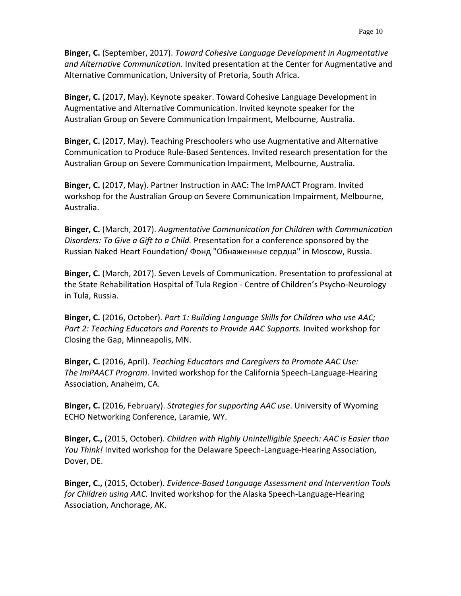**Binger, C.** (September, 2017). *Toward Cohesive Language Development in Augmentative and Alternative Communication.* Invited presentation at the Center for Augmentative and Alternative Communication, University of Pretoria, South Africa.

**Binger, C.** (2017, May). Keynote speaker. Toward Cohesive Language Development in Augmentative and Alternative Communication. Invited keynote speaker for the Australian Group on Severe Communication Impairment, Melbourne, Australia.

**Binger, C.** (2017, May). Teaching Preschoolers who use Augmentative and Alternative Communication to Produce Rule-Based Sentences. Invited research presentation for the Australian Group on Severe Communication Impairment, Melbourne, Australia.

**Binger, C.** (2017, May). Partner Instruction in AAC: The ImPAACT Program. Invited workshop for the Australian Group on Severe Communication Impairment, Melbourne, Australia.

**Binger, C.** (March, 2017). *Augmentative Communication for Children with Communication Disorders: To Give a Gift to a Child.* Presentation for a conference sponsored by the Russian [Naked Heart Foundation/ Фонд "Обнаженные cердца"](https://www.facebook.com/NHFcharity/) in Moscow, Russia.

**Binger, C.** (March, 2017). Seven Levels of Communication. Presentation to professional at the State Rehabilitation Hospital of Tula Region - Centre of Children's Psycho-Neurology in Tula, Russia.

**Binger, C.** (2016, October). *Part 1: Building Language Skills for Children who use AAC; Part 2: Teaching Educators and Parents to Provide AAC Supports.* Invited workshop for Closing the Gap, Minneapolis, MN.

**Binger, C.** (2016, April). *Teaching Educators and Caregivers to Promote AAC Use: The ImPAACT Program.* Invited workshop for the California Speech-Language-Hearing Association, Anaheim, CA.

**Binger, C.** (2016, February). *Strategies for supporting AAC use*. University of Wyoming ECHO Networking Conference, Laramie, WY.

**Binger, C.,** (2015, October). *Children with Highly Unintelligible Speech: AAC is Easier than You Think!* Invited workshop for the Delaware Speech-Language-Hearing Association, Dover, DE.

**Binger, C.,** (2015, October). *Evidence-Based Language Assessment and Intervention Tools for Children using AAC.* Invited workshop for the Alaska Speech-Language-Hearing Association, Anchorage, AK.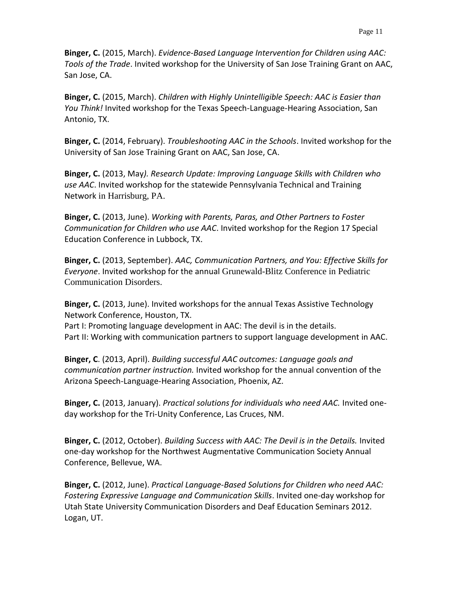**Binger, C.** (2015, March). *Evidence-Based Language Intervention for Children using AAC: Tools of the Trade*. Invited workshop for the University of San Jose Training Grant on AAC, San Jose, CA.

**Binger, C.** (2015, March). *Children with Highly Unintelligible Speech: AAC is Easier than You Think!* Invited workshop for the Texas Speech-Language-Hearing Association, San Antonio, TX.

**Binger, C.** (2014, February). *Troubleshooting AAC in the Schools*. Invited workshop for the University of San Jose Training Grant on AAC, San Jose, CA.

**Binger, C.** (2013, May*). Research Update: Improving Language Skills with Children who use AAC*. Invited workshop for the statewide Pennsylvania Technical and Training Network in Harrisburg, PA.

**Binger, C.** (2013, June). *Working with Parents, Paras, and Other Partners to Foster Communication for Children who use AAC*. Invited workshop for the Region 17 Special Education Conference in Lubbock, TX.

**Binger, C.** (2013, September). *AAC, Communication Partners, and You: Effective Skills for Everyone*. Invited workshop for the annual Grunewald-Blitz Conference in Pediatric Communication Disorders.

**Binger, C.** (2013, June). Invited workshops for the annual Texas Assistive Technology Network Conference, Houston, TX.

Part I: Promoting language development in AAC: The devil is in the details. Part II: Working with communication partners to support language development in AAC.

**Binger, C**. (2013, April). *Building successful AAC outcomes: Language goals and communication partner instruction.* Invited workshop for the annual convention of the Arizona Speech-Language-Hearing Association, Phoenix, AZ.

**Binger, C.** (2013, January). *Practical solutions for individuals who need AAC.* Invited oneday workshop for the Tri-Unity Conference, Las Cruces, NM.

**Binger, C.** (2012, October). *Building Success with AAC: The Devil is in the Details.* Invited one-day workshop for the Northwest Augmentative Communication Society Annual Conference, Bellevue, WA.

**Binger, C.** (2012, June). *Practical Language-Based Solutions for Children who need AAC: Fostering Expressive Language and Communication Skills*. Invited one-day workshop for Utah State University Communication Disorders and Deaf Education Seminars 2012. Logan, UT.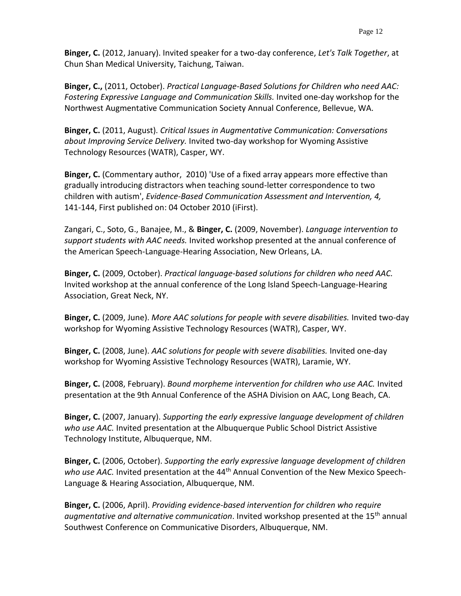**Binger, C.** (2012, January). Invited speaker for a two-day conference, *Let's Talk Together*, at Chun Shan Medical University, Taichung, Taiwan.

**Binger, C.,** (2011, October). *Practical Language-Based Solutions for Children who need AAC: Fostering Expressive Language and Communication Skills.* Invited one-day workshop for the Northwest Augmentative Communication Society Annual Conference, Bellevue, WA.

**Binger, C.** (2011, August). *Critical Issues in Augmentative Communication: Conversations about Improving Service Delivery.* Invited two-day workshop for Wyoming Assistive Technology Resources (WATR), Casper, WY.

**Binger, C.** (Commentary author, 2010) 'Use of a fixed array appears more effective than gradually introducing distractors when teaching sound-letter correspondence to two children with autism', *Evidence-Based Communication Assessment and Intervention, 4,* 141-144, First published on: 04 October 2010 (iFirst).

Zangari, C., Soto, G., Banajee, M., & **Binger, C.** (2009, November). *Language intervention to support students with AAC needs.* Invited workshop presented at the annual conference of the American Speech-Language-Hearing Association, New Orleans, LA.

**Binger, C.** (2009, October). *Practical language-based solutions for children who need AAC.* Invited workshop at the annual conference of the Long Island Speech-Language-Hearing Association, Great Neck, NY.

**Binger, C.** (2009, June). *More AAC solutions for people with severe disabilities.* Invited two-day workshop for Wyoming Assistive Technology Resources (WATR), Casper, WY.

**Binger, C.** (2008, June). *AAC solutions for people with severe disabilities.* Invited one-day workshop for Wyoming Assistive Technology Resources (WATR), Laramie, WY.

**Binger, C.** (2008, February). *Bound morpheme intervention for children who use AAC.* Invited presentation at the 9th Annual Conference of the ASHA Division on AAC, Long Beach, CA.

**Binger, C.** (2007, January). *Supporting the early expressive language development of children who use AAC.* Invited presentation at the Albuquerque Public School District Assistive Technology Institute, Albuquerque, NM.

**Binger, C.** (2006, October). *Supporting the early expressive language development of children*  who use AAC. Invited presentation at the 44<sup>th</sup> Annual Convention of the New Mexico Speech-Language & Hearing Association, Albuquerque, NM.

**Binger, C.** (2006, April). *Providing evidence-based intervention for children who require augmentative and alternative communication*. Invited workshop presented at the 15th annual Southwest Conference on Communicative Disorders, Albuquerque, NM.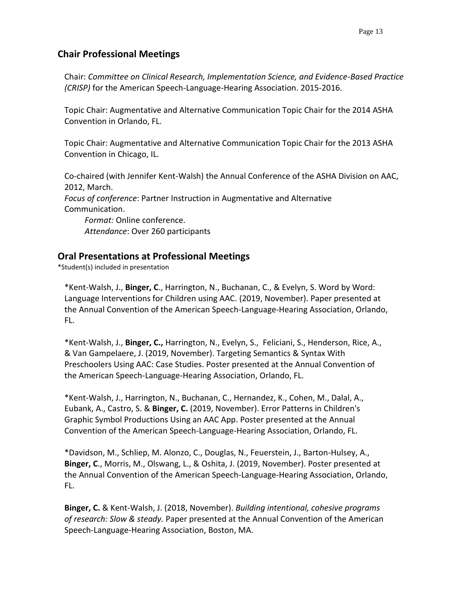# **Chair Professional Meetings**

Chair: *Committee on Clinical Research, Implementation Science, and Evidence-Based Practice (CRISP)* for the American Speech-Language-Hearing Association. 2015-2016.

Topic Chair: Augmentative and Alternative Communication Topic Chair for the 2014 ASHA Convention in Orlando, FL.

Topic Chair: Augmentative and Alternative Communication Topic Chair for the 2013 ASHA Convention in Chicago, IL.

Co-chaired (with Jennifer Kent-Walsh) the Annual Conference of the ASHA Division on AAC, 2012, March. *Focus of conference*: Partner Instruction in Augmentative and Alternative Communication. *Format:* Online conference.

*Attendance*: Over 260 participants

# **Oral Presentations at Professional Meetings**

\*Student(s) included in presentation

\*Kent-Walsh, J., **Binger, C**., Harrington, N., Buchanan, C., & Evelyn, S. Word by Word: Language Interventions for Children using AAC. (2019, November). Paper presented at the Annual Convention of the American Speech-Language-Hearing Association, Orlando, FL.

\*Kent-Walsh, J., **Binger, C.,** Harrington, N., Evelyn, S., Feliciani, S., Henderson, Rice, A., & Van Gampelaere, J. (2019, November). Targeting Semantics & Syntax With Preschoolers Using AAC: Case Studies. Poster presented at the Annual Convention of the American Speech-Language-Hearing Association, Orlando, FL.

\*Kent-Walsh, J., Harrington, N., Buchanan, C., Hernandez, K., Cohen, M., Dalal, A., Eubank, A., Castro, S. & **Binger, C.** (2019, November). Error Patterns in Children's Graphic Symbol Productions Using an AAC App. Poster presented at the Annual Convention of the American Speech-Language-Hearing Association, Orlando, FL.

\*Davidson, M., Schliep, M. Alonzo, C., Douglas, N., Feuerstein, J., Barton-Hulsey, A., **Binger, C**., Morris, M., Olswang, L., & Oshita, J. (2019, November). Poster presented at the Annual Convention of the American Speech-Language-Hearing Association, Orlando, FL.

**Binger, C.** & Kent-Walsh, J. (2018, November). *Building intentional, cohesive programs of research: Slow & steady.* Paper presented at the Annual Convention of the American Speech-Language-Hearing Association, Boston, MA.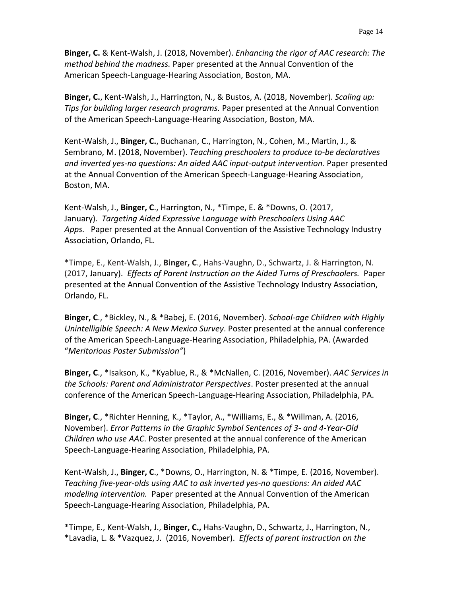**Binger, C.** & Kent-Walsh, J. (2018, November). *Enhancing the rigor of AAC research: The method behind the madness.* Paper presented at the Annual Convention of the American Speech-Language-Hearing Association, Boston, MA.

**Binger, C.**, Kent-Walsh, J., Harrington, N., & Bustos, A. (2018, November). *Scaling up: Tips for building larger research programs.* Paper presented at the Annual Convention of the American Speech-Language-Hearing Association, Boston, MA.

Kent-Walsh, J., **Binger, C.**, Buchanan, C., Harrington, N., Cohen, M., Martin, J., & Sembrano, M. (2018, November). *Teaching preschoolers to produce to-be declaratives and inverted yes-no questions: An aided AAC input-output intervention.* Paper presented at the Annual Convention of the American Speech-Language-Hearing Association, Boston, MA.

Kent-Walsh, J., **Binger, C**., Harrington, N., \*Timpe, E. & \*Downs, O. (2017, January). *Targeting Aided Expressive Language with Preschoolers Using AAC Apps.* Paper presented at the Annual Convention of the Assistive Technology Industry Association, Orlando, FL.

\*Timpe, E., Kent-Walsh, J., **Binger, C**., Hahs-Vaughn, D., Schwartz, J. & Harrington, N. (2017, January). *Effects of Parent Instruction on the Aided Turns of Preschoolers.* Paper presented at the Annual Convention of the Assistive Technology Industry Association, Orlando, FL.

**Binger, C**., \*Bickley, N., & \*Babej, E. (2016, November). *School-age Children with Highly Unintelligible Speech: A New Mexico Survey*. Poster presented at the annual conference of the American Speech-Language-Hearing Association, Philadelphia, PA. (Awarded "*Meritorious Poster Submission"*)

**Binger, C**., \*Isakson, K., \*Kyablue, R., & \*McNallen, C. (2016, November). *AAC Services in the Schools: Parent and Administrator Perspectives*. Poster presented at the annual conference of the American Speech-Language-Hearing Association, Philadelphia, PA.

**Binger, C**., \*Richter Henning, K., \*Taylor, A., \*Williams, E., & \*Willman, A. (2016, November). *Error Patterns in the Graphic Symbol Sentences of 3- and 4-Year-Old Children who use AAC*. Poster presented at the annual conference of the American Speech-Language-Hearing Association, Philadelphia, PA.

Kent-Walsh, J., **Binger, C**., \*Downs, O., Harrington, N. & \*Timpe, E. (2016, November). *Teaching five-year-olds using AAC to ask inverted yes-no questions: An aided AAC modeling intervention.* Paper presented at the Annual Convention of the American Speech-Language-Hearing Association, Philadelphia, PA.

\*Timpe, E., Kent-Walsh, J., **Binger, C.,** Hahs-Vaughn, D., Schwartz, J., Harrington, N., \*Lavadia, L. & \*Vazquez, J. (2016, November). *Effects of parent instruction on the*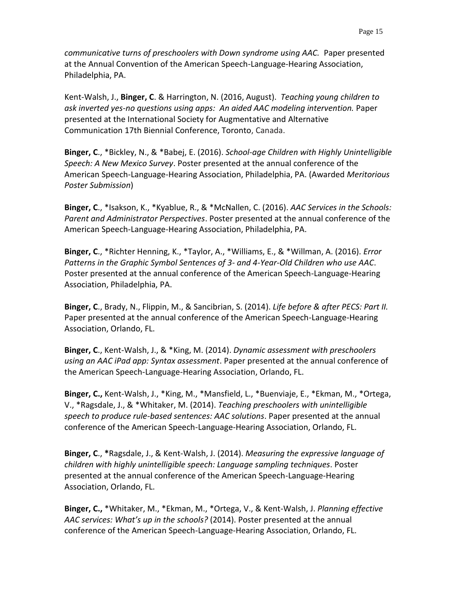*communicative turns of preschoolers with Down syndrome using AAC.* Paper presented at the Annual Convention of the American Speech-Language-Hearing Association, Philadelphia, PA.

Kent-Walsh, J., **Binger, C**. & Harrington, N. (2016, August). *Teaching young children to ask inverted yes-no questions using apps: An aided AAC modeling intervention.* Paper presented at the International Society for Augmentative and Alternative Communication 17th Biennial Conference, Toronto, Canada.

**Binger, C**., \*Bickley, N., & \*Babej, E. (2016). *School-age Children with Highly Unintelligible Speech: A New Mexico Survey*. Poster presented at the annual conference of the American Speech-Language-Hearing Association, Philadelphia, PA. (Awarded *Meritorious Poster Submission*)

**Binger, C**., \*Isakson, K., \*Kyablue, R., & \*McNallen, C. (2016). *AAC Services in the Schools: Parent and Administrator Perspectives*. Poster presented at the annual conference of the American Speech-Language-Hearing Association, Philadelphia, PA.

**Binger, C**., \*Richter Henning, K., \*Taylor, A., \*Williams, E., & \*Willman, A. (2016). *Error Patterns in the Graphic Symbol Sentences of 3- and 4-Year-Old Children who use AAC*. Poster presented at the annual conference of the American Speech-Language-Hearing Association, Philadelphia, PA.

**Binger, C**., Brady, N., Flippin, M., & Sancibrian, S. (2014). *Life before & after PECS: Part II.* Paper presented at the annual conference of the American Speech-Language-Hearing Association, Orlando, FL.

**Binger, C**., Kent-Walsh, J., & \*King, M. (2014). *Dynamic assessment with preschoolers using an AAC iPad app: Syntax assessment*. Paper presented at the annual conference of the American Speech-Language-Hearing Association, Orlando, FL.

**Binger, C.,** Kent-Walsh, J., \*King, M., \*Mansfield, L., \*Buenviaje, E., \*Ekman, M., \*Ortega, V., \*Ragsdale, J., & \*Whitaker, M. (2014). *Teaching preschoolers with unintelligible speech to produce rule-based sentences: AAC solutions*. Paper presented at the annual conference of the American Speech-Language-Hearing Association, Orlando, FL.

**Binger, C**., **\***Ragsdale, J., & Kent-Walsh, J. (2014). *Measuring the expressive language of children with highly unintelligible speech: Language sampling techniques*. Poster presented at the annual conference of the American Speech-Language-Hearing Association, Orlando, FL.

**Binger, C.,** \*Whitaker, M., \*Ekman, M., \*Ortega, V., & Kent-Walsh, J. *Planning effective AAC services: What's up in the schools?* (2014). Poster presented at the annual conference of the American Speech-Language-Hearing Association, Orlando, FL.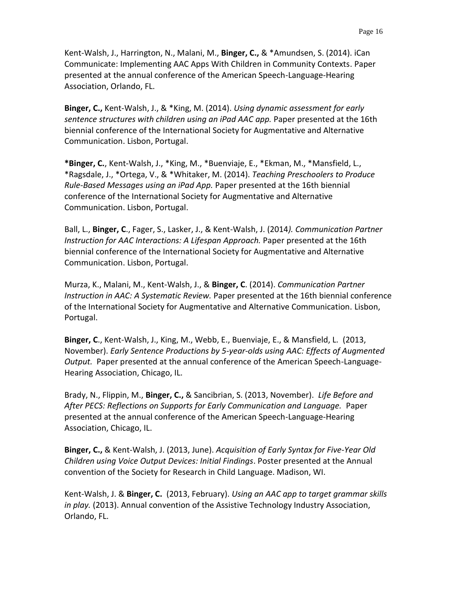Kent-Walsh, J., Harrington, N., Malani, M., **Binger, C.,** & \*Amundsen, S. (2014). iCan Communicate: Implementing AAC Apps With Children in Community Contexts. Paper presented at the annual conference of the American Speech-Language-Hearing Association, Orlando, FL.

**Binger, C.,** Kent-Walsh, J., & \*King, M. (2014). *Using dynamic assessment for early sentence structures with children using an iPad AAC app.* Paper presented at the 16th biennial conference of the International Society for Augmentative and Alternative Communication. Lisbon, Portugal.

**\*Binger, C.**, Kent-Walsh, J., \*King, M., \*Buenviaje, E., \*Ekman, M., \*Mansfield, L., \*Ragsdale, J., \*Ortega, V., & \*Whitaker, M. (2014). *Teaching Preschoolers to Produce Rule-Based Messages using an iPad App.* Paper presented at the 16th biennial conference of the International Society for Augmentative and Alternative Communication. Lisbon, Portugal.

Ball, L., **Binger, C**., Fager, S., Lasker, J., & Kent-Walsh, J. (2014*). Communication Partner Instruction for AAC Interactions: A Lifespan Approach.* Paper presented at the 16th biennial conference of the International Society for Augmentative and Alternative Communication. Lisbon, Portugal.

Murza, K., Malani, M., Kent-Walsh, J., & **Binger, C**. (2014). *Communication Partner Instruction in AAC: A Systematic Review.* Paper presented at the 16th biennial conference of the International Society for Augmentative and Alternative Communication. Lisbon, Portugal.

**Binger, C**., Kent-Walsh, J., King, M., Webb, E., Buenviaje, E., & Mansfield, L. (2013, November). *Early Sentence Productions by 5-year-olds using AAC: Effects of Augmented Output.* Paper presented at the annual conference of the American Speech-Language-Hearing Association, Chicago, IL.

Brady, N., Flippin, M., **Binger, C.,** & Sancibrian, S. (2013, November). *Life Before and After PECS: Reflections on Supports for Early Communication and Language.* Paper presented at the annual conference of the American Speech-Language-Hearing Association, Chicago, IL.

**Binger, C.,** & Kent-Walsh, J. (2013, June). *Acquisition of Early Syntax for Five-Year Old Children using Voice Output Devices: Initial Findings*. Poster presented at the Annual convention of the Society for Research in Child Language. Madison, WI.

Kent-Walsh, J. & **Binger, C.** (2013, February). *Using an AAC app to target grammar skills in play.* (2013). Annual convention of the Assistive Technology Industry Association, Orlando, FL.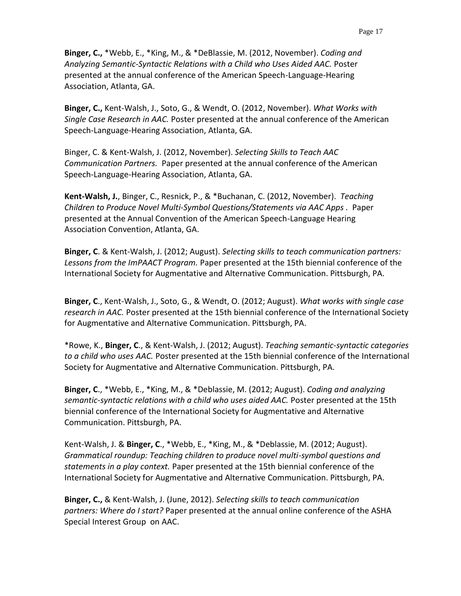**Binger, C.,** \*Webb, E., \*King, M., & \*DeBlassie, M. (2012, November). *Coding and Analyzing Semantic-Syntactic Relations with a Child who Uses Aided AAC.* Poster presented at the annual conference of the American Speech-Language-Hearing Association, Atlanta, GA.

**Binger, C.,** Kent-Walsh, J., Soto, G., & Wendt, O. (2012, November). *What Works with Single Case Research in AAC.* Poster presented at the annual conference of the American Speech-Language-Hearing Association, Atlanta, GA.

Binger, C. & Kent-Walsh, J. (2012, November). *Selecting Skills to Teach AAC Communication Partners.* Paper presented at the annual conference of the American Speech-Language-Hearing Association, Atlanta, GA.

**Kent-Walsh, J.**, Binger, C., Resnick, P., & \*Buchanan, C. (2012, November). *Teaching Children to Produce Novel Multi-Symbol Questions/Statements via AAC Apps .* Paper presented at the Annual Convention of the American Speech-Language Hearing Association Convention, Atlanta, GA.

**Binger, C**. & Kent-Walsh, J. (2012; August). *Selecting skills to teach communication partners: Lessons from the ImPAACT Program.* Paper presented at the 15th biennial conference of the International Society for Augmentative and Alternative Communication. Pittsburgh, PA.

**Binger, C**., Kent-Walsh, J., Soto, G., & Wendt, O. (2012; August). *What works with single case research in AAC.* Poster presented at the 15th biennial conference of the International Society for Augmentative and Alternative Communication. Pittsburgh, PA.

\*Rowe, K., **Binger, C**., & Kent-Walsh, J. (2012; August). *Teaching semantic-syntactic categories to a child who uses AAC.* Poster presented at the 15th biennial conference of the International Society for Augmentative and Alternative Communication. Pittsburgh, PA.

**Binger, C**., \*Webb, E., \*King, M., & \*Deblassie, M. (2012; August). *Coding and analyzing semantic-syntactic relations with a child who uses aided AAC.* Poster presented at the 15th biennial conference of the International Society for Augmentative and Alternative Communication. Pittsburgh, PA.

Kent-Walsh, J. & **Binger, C**., \*Webb, E., \*King, M., & \*Deblassie, M. (2012; August). *Grammatical roundup: Teaching children to produce novel multi-symbol questions and statements in a play context.* Paper presented at the 15th biennial conference of the International Society for Augmentative and Alternative Communication. Pittsburgh, PA.

**Binger, C.,** & Kent-Walsh, J. (June, 2012). *Selecting skills to teach communication partners: Where do I start?* Paper presented at the annual online conference of the ASHA Special Interest Group on AAC.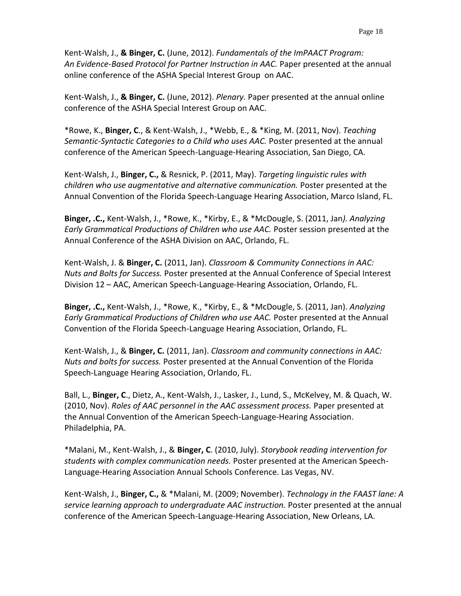Kent-Walsh, J., **& Binger, C.** (June, 2012). *Fundamentals of the ImPAACT Program: An Evidence-Based Protocol for Partner Instruction in AAC.* Paper presented at the annual online conference of the ASHA Special Interest Group on AAC.

Kent-Walsh, J., **& Binger, C.** (June, 2012). *Plenary.* Paper presented at the annual online conference of the ASHA Special Interest Group on AAC.

\*Rowe, K., **Binger, C**., & Kent-Walsh, J., \*Webb, E., & \*King, M. (2011, Nov). *Teaching Semantic-Syntactic Categories to a Child who uses AAC.* Poster presented at the annual conference of the American Speech-Language-Hearing Association, San Diego, CA.

Kent-Walsh, J., **Binger, C.,** & Resnick, P. (2011, May). *Targeting linguistic rules with children who use augmentative and alternative communication.* Poster presented at the Annual Convention of the Florida Speech-Language Hearing Association, Marco Island, FL.

**Binger, .C.,** Kent-Walsh, J., \*Rowe, K., \*Kirby, E., & \*McDougle, S. (2011, Jan*). Analyzing Early Grammatical Productions of Children who use AAC.* Poster session presented at the Annual Conference of the ASHA Division on AAC, Orlando, FL.

Kent-Walsh, J. & **Binger, C.** (2011, Jan). *Classroom & Community Connections in AAC: Nuts and Bolts for Success.* Poster presented at the Annual Conference of Special Interest Division 12 – AAC, American Speech-Language-Hearing Association, Orlando, FL.

**Binger, .C.,** Kent-Walsh, J., \*Rowe, K., \*Kirby, E., & \*McDougle, S. (2011, Jan). *Analyzing Early Grammatical Productions of Children who use AAC.* Poster presented at the Annual Convention of the Florida Speech-Language Hearing Association, Orlando, FL.

Kent-Walsh, J., & **Binger, C.** (2011, Jan). *Classroom and community connections in AAC: Nuts and bolts for success.* Poster presented at the Annual Convention of the Florida Speech-Language Hearing Association, Orlando, FL.

Ball, L., **Binger, C**., Dietz, A., Kent-Walsh, J., Lasker, J., Lund, S., McKelvey, M. & Quach, W. (2010, Nov). *Roles of AAC personnel in the AAC assessment process.* Paper presented at the Annual Convention of the American Speech-Language-Hearing Association. Philadelphia, PA.

\*Malani, M., Kent-Walsh, J., & **Binger, C**. (2010, July). *Storybook reading intervention for students with complex communication needs.* Poster presented at the American Speech-Language-Hearing Association Annual Schools Conference. Las Vegas, NV.

Kent-Walsh, J., **Binger, C.,** & \*Malani, M. (2009; November). *Technology in the FAAST lane: A service learning approach to undergraduate AAC instruction.* Poster presented at the annual conference of the American Speech-Language-Hearing Association, New Orleans, LA.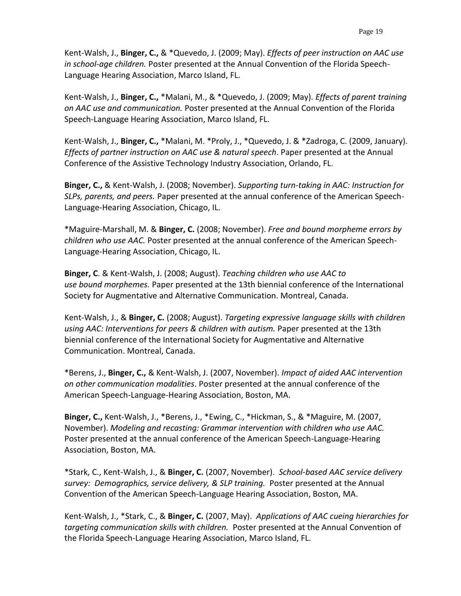Kent-Walsh, J., **Binger, C.,** & \*Quevedo, J. (2009; May). *Effects of peer instruction on AAC use in school-age children.* Poster presented at the Annual Convention of the Florida Speech-Language Hearing Association, Marco Island, FL.

Kent-Walsh, J., **Binger, C.,** \*Malani, M., & \*Quevedo, J. (2009; May). *Effects of parent training on AAC use and communication.* Poster presented at the Annual Convention of the Florida Speech-Language Hearing Association, Marco Island, FL.

Kent-Walsh, J., **Binger, C.,** \*Malani, M. \*Proly, J., \*Quevedo, J. & \*Zadroga, C. (2009, January). *Effects of partner instruction on AAC use & natural speech*. Paper presented at the Annual Conference of the Assistive Technology Industry Association, Orlando, FL.

**Binger, C.,** & Kent-Walsh, J. (2008; November). *Supporting turn-taking in AAC: Instruction for SLPs, parents, and peers.* Paper presented at the annual conference of the American Speech-Language-Hearing Association, Chicago, IL.

\*Maguire-Marshall, M. & **Binger, C.** (2008; November). *Free and bound morpheme errors by children who use AAC.* Poster presented at the annual conference of the American Speech-Language-Hearing Association, Chicago, IL.

**Binger, C**. & Kent-Walsh, J. (2008; August). *Teaching children who use AAC to use bound morphemes.* Paper presented at the 13th biennial conference of the International Society for Augmentative and Alternative Communication. Montreal, Canada.

Kent-Walsh, J., & **Binger, C.** (2008; August). *Targeting expressive language skills with children using AAC: Interventions for peers & children with autism.* Paper presented at the 13th biennial conference of the International Society for Augmentative and Alternative Communication. Montreal, Canada.

\*Berens, J., **Binger, C.,** & Kent-Walsh, J. (2007, November). *Impact of aided AAC intervention on other communication modalities*. Poster presented at the annual conference of the American Speech-Language-Hearing Association, Boston, MA.

**Binger, C.,** Kent-Walsh, J., \*Berens, J., \*Ewing, C., \*Hickman, S., & \*Maguire, M. (2007, November). *Modeling and recasting: Grammar intervention with children who use AAC.* Poster presented at the annual conference of the American Speech-Language-Hearing Association, Boston, MA.

\*Stark, C., Kent-Walsh, J., & **Binger, C.** (2007, November). *School-based AAC service delivery survey: Demographics, service delivery, & SLP training.* Poster presented at the Annual Convention of the American Speech-Language Hearing Association, Boston, MA.

Kent-Walsh, J., \*Stark, C., & **Binger, C.** (2007, May). *Applications of AAC cueing hierarchies for targeting communication skills with children.* Poster presented at the Annual Convention of the Florida Speech-Language Hearing Association, Marco Island, FL.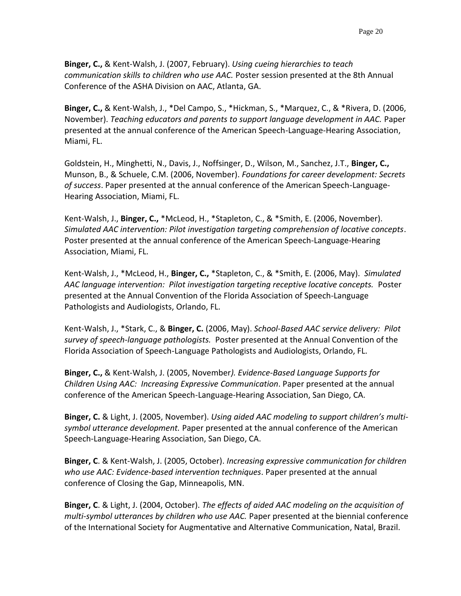**Binger, C.,** & Kent-Walsh, J. (2007, February). *Using cueing hierarchies to teach communication skills to children who use AAC.* Poster session presented at the 8th Annual Conference of the ASHA Division on AAC, Atlanta, GA.

**Binger, C.,** & Kent-Walsh, J., \*Del Campo, S., \*Hickman, S., \*Marquez, C., & \*Rivera, D. (2006, November). *Teaching educators and parents to support language development in AAC.* Paper presented at the annual conference of the American Speech-Language-Hearing Association, Miami, FL.

Goldstein, H., Minghetti, N., Davis, J., Noffsinger, D., Wilson, M., Sanchez, J.T., **Binger, C.,**  Munson, B., & Schuele, C.M. (2006, November). *Foundations for career development: Secrets of success*. Paper presented at the annual conference of the American Speech-Language-Hearing Association, Miami, FL.

Kent-Walsh, J., **Binger, C.,** \*McLeod, H., \*Stapleton, C., & \*Smith, E. (2006, November). *Simulated AAC intervention: Pilot investigation targeting comprehension of locative concepts*. Poster presented at the annual conference of the American Speech-Language-Hearing Association, Miami, FL.

Kent-Walsh, J., \*McLeod, H., **Binger, C.,** \*Stapleton, C., & \*Smith, E. (2006, May). *Simulated AAC language intervention: Pilot investigation targeting receptive locative concepts.* Poster presented at the Annual Convention of the Florida Association of Speech-Language Pathologists and Audiologists, Orlando, FL.

Kent-Walsh, J., \*Stark, C., & **Binger, C.** (2006, May). *School-Based AAC service delivery: Pilot survey of speech-language pathologists.* Poster presented at the Annual Convention of the Florida Association of Speech-Language Pathologists and Audiologists, Orlando, FL.

**Binger, C.,** & Kent-Walsh, J. (2005, November*). Evidence-Based Language Supports for Children Using AAC: Increasing Expressive Communication*. Paper presented at the annual conference of the American Speech-Language-Hearing Association, San Diego, CA.

**Binger, C.** & Light, J. (2005, November). *Using aided AAC modeling to support children's multisymbol utterance development.* Paper presented at the annual conference of the American Speech-Language-Hearing Association, San Diego, CA.

**Binger, C**. & Kent-Walsh, J. (2005, October). *Increasing expressive communication for children who use AAC: Evidence-based intervention techniques*. Paper presented at the annual conference of Closing the Gap, Minneapolis, MN.

**Binger, C**. & Light, J. (2004, October). *The effects of aided AAC modeling on the acquisition of multi-symbol utterances by children who use AAC.* Paper presented at the biennial conference of the International Society for Augmentative and Alternative Communication, Natal, Brazil.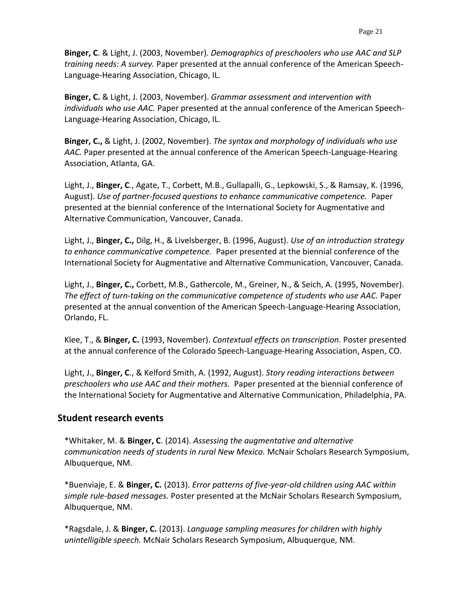**Binger, C**. & Light, J. (2003, November). *Demographics of preschoolers who use AAC and SLP training needs: A survey.* Paper presented at the annual conference of the American Speech-Language-Hearing Association, Chicago, IL.

**Binger, C.** & Light, J. (2003, November). *Grammar assessment and intervention with individuals who use AAC.* Paper presented at the annual conference of the American Speech-Language-Hearing Association, Chicago, IL.

**Binger, C.,** & Light, J. (2002, November). *The syntax and morphology of individuals who use AAC.* Paper presented at the annual conference of the American Speech-Language-Hearing Association, Atlanta, GA.

Light, J., **Binger, C**., Agate, T., Corbett, M.B., Gullapalli, G., Lepkowski, S., & Ramsay, K. (1996, August). *Use of partner-focused questions to enhance communicative competence.* Paper presented at the biennial conference of the International Society for Augmentative and Alternative Communication, Vancouver, Canada.

Light, J., **Binger, C.,** Dilg, H., & Livelsberger, B. (1996, August). *Use of an introduction strategy to enhance communicative competence.* Paper presented at the biennial conference of the International Society for Augmentative and Alternative Communication, Vancouver, Canada.

Light, J., **Binger, C.,** Corbett, M.B., Gathercole, M., Greiner, N., & Seich, A. (1995, November). *The effect of turn-taking on the communicative competence of students who use AAC.* Paper presented at the annual convention of the American Speech-Language-Hearing Association, Orlando, FL.

Klee, T., & **Binger, C.** (1993, November). *Contextual effects on transcription*. Poster presented at the annual conference of the Colorado Speech-Language-Hearing Association, Aspen, CO.

Light, J., **Binger, C**., & Kelford Smith, A. (1992, August). *Story reading interactions between preschoolers who use AAC and their mothers.* Paper presented at the biennial conference of the International Society for Augmentative and Alternative Communication, Philadelphia, PA.

# **Student research events**

\*Whitaker, M. & **Binger, C**. (2014). *Assessing the augmentative and alternative communication needs of students in rural New Mexico.* McNair Scholars Research Symposium, Albuquerque, NM.

\*Buenviaje, E. & **Binger, C.** (2013). *Error patterns of five-year-old children using AAC within simple rule-based messages.* Poster presented at the McNair Scholars Research Symposium, Albuquerque, NM.

\*Ragsdale, J. & **Binger, C.** (2013). *Language sampling measures for children with highly unintelligible speech.* McNair Scholars Research Symposium, Albuquerque, NM.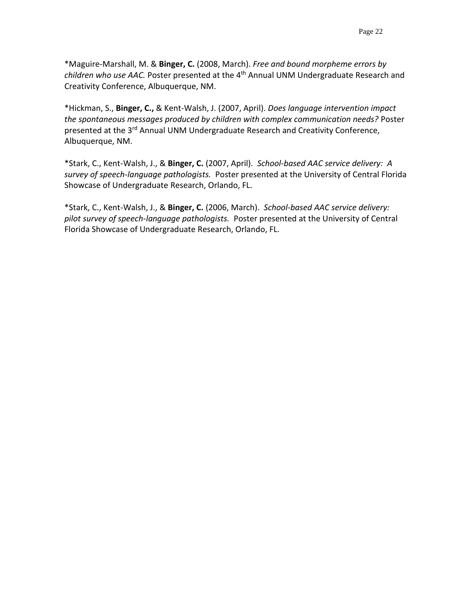\*Maguire-Marshall, M. & **Binger, C.** (2008, March). *Free and bound morpheme errors by children who use AAC.* Poster presented at the 4th Annual UNM Undergraduate Research and Creativity Conference, Albuquerque, NM.

\*Hickman, S., **Binger, C.,** & Kent-Walsh, J. (2007, April). *Does language intervention impact the spontaneous messages produced by children with complex communication needs?* Poster presented at the 3<sup>rd</sup> Annual UNM Undergraduate Research and Creativity Conference, Albuquerque, NM.

\*Stark, C., Kent-Walsh, J., & **Binger, C.** (2007, April). *School-based AAC service delivery: A survey of speech-language pathologists.* Poster presented at the University of Central Florida Showcase of Undergraduate Research, Orlando, FL.

\*Stark, C., Kent-Walsh, J., & **Binger, C.** (2006, March). *School-based AAC service delivery: pilot survey of speech-language pathologists.* Poster presented at the University of Central Florida Showcase of Undergraduate Research, Orlando, FL.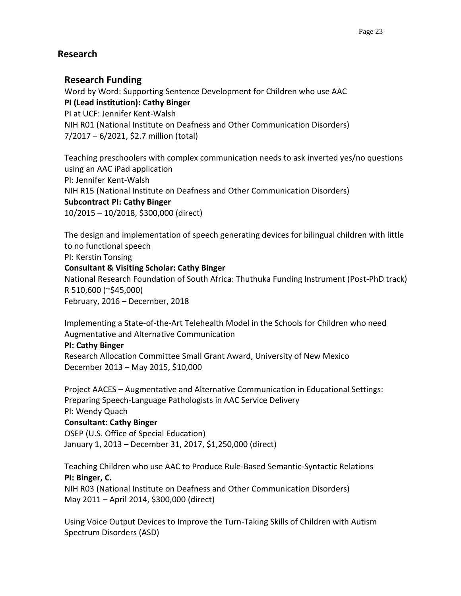# **Research**

# **Research Funding**

Word by Word: Supporting Sentence Development for Children who use AAC **PI (Lead institution): Cathy Binger** PI at UCF: Jennifer Kent-Walsh NIH R01 (National Institute on Deafness and Other Communication Disorders)

7/2017 – 6/2021, \$2.7 million (total)

Teaching preschoolers with complex communication needs to ask inverted yes/no questions using an AAC iPad application PI: Jennifer Kent-Walsh NIH R15 (National Institute on Deafness and Other Communication Disorders) **Subcontract PI: Cathy Binger** 10/2015 – 10/2018, \$300,000 (direct)

The design and implementation of speech generating devices for bilingual children with little to no functional speech PI: Kerstin Tonsing **Consultant & Visiting Scholar: Cathy Binger** National Research Foundation of South Africa: Thuthuka Funding Instrument (Post-PhD track)

R 510,600 (~\$45,000)

February, 2016 – December, 2018

Implementing a State-of-the-Art Telehealth Model in the Schools for Children who need Augmentative and Alternative Communication

**PI: Cathy Binger**

Research Allocation Committee Small Grant Award, University of New Mexico December 2013 – May 2015, \$10,000

Project AACES – Augmentative and Alternative Communication in Educational Settings: Preparing Speech-Language Pathologists in AAC Service Delivery PI: Wendy Quach

# **Consultant: Cathy Binger**

OSEP (U.S. Office of Special Education) January 1, 2013 – December 31, 2017, \$1,250,000 (direct)

Teaching Children who use AAC to Produce Rule-Based Semantic-Syntactic Relations **PI: Binger, C.**

NIH R03 (National Institute on Deafness and Other Communication Disorders) May 2011 – April 2014, \$300,000 (direct)

Using Voice Output Devices to Improve the Turn-Taking Skills of Children with Autism Spectrum Disorders (ASD)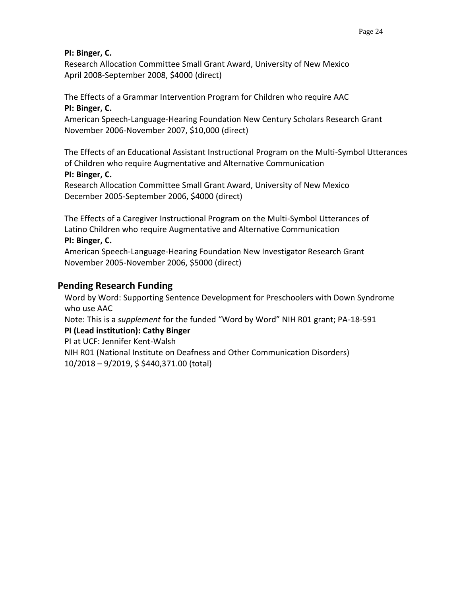### **PI: Binger, C.**

Research Allocation Committee Small Grant Award, University of New Mexico April 2008-September 2008, \$4000 (direct)

The Effects of a Grammar Intervention Program for Children who require AAC

### **PI: Binger, C.**

American Speech-Language-Hearing Foundation New Century Scholars Research Grant November 2006-November 2007, \$10,000 (direct)

The Effects of an Educational Assistant Instructional Program on the Multi-Symbol Utterances of Children who require Augmentative and Alternative Communication **PI: Binger, C.**

Research Allocation Committee Small Grant Award, University of New Mexico December 2005-September 2006, \$4000 (direct)

The Effects of a Caregiver Instructional Program on the Multi-Symbol Utterances of Latino Children who require Augmentative and Alternative Communication **PI: Binger, C.** 

American Speech-Language-Hearing Foundation New Investigator Research Grant November 2005-November 2006, \$5000 (direct)

# **Pending Research Funding**

Word by Word: Supporting Sentence Development for Preschoolers with Down Syndrome who use AAC

Note: This is a *supplement* for the funded "Word by Word" NIH R01 grant; PA-18-591

### **PI (Lead institution): Cathy Binger**

PI at UCF: Jennifer Kent-Walsh

NIH R01 (National Institute on Deafness and Other Communication Disorders) 10/2018 – 9/2019, \$ \$440,371.00 (total)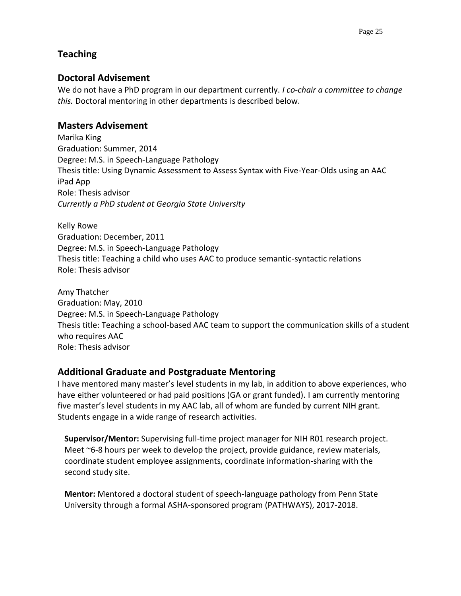# **Teaching**

# **Doctoral Advisement**

We do not have a PhD program in our department currently. *I co-chair a committee to change this.* Doctoral mentoring in other departments is described below.

# **Masters Advisement**

Marika King Graduation: Summer, 2014 Degree: M.S. in Speech-Language Pathology Thesis title: Using Dynamic Assessment to Assess Syntax with Five-Year-Olds using an AAC iPad App Role: Thesis advisor *Currently a PhD student at Georgia State University*

Kelly Rowe Graduation: December, 2011 Degree: M.S. in Speech-Language Pathology Thesis title: Teaching a child who uses AAC to produce semantic-syntactic relations Role: Thesis advisor

Amy Thatcher Graduation: May, 2010 Degree: M.S. in Speech-Language Pathology Thesis title: Teaching a school-based AAC team to support the communication skills of a student who requires AAC Role: Thesis advisor

# **Additional Graduate and Postgraduate Mentoring**

I have mentored many master's level students in my lab, in addition to above experiences, who have either volunteered or had paid positions (GA or grant funded). I am currently mentoring five master's level students in my AAC lab, all of whom are funded by current NIH grant. Students engage in a wide range of research activities.

**Supervisor/Mentor:** Supervising full-time project manager for NIH R01 research project. Meet ~6-8 hours per week to develop the project, provide guidance, review materials, coordinate student employee assignments, coordinate information-sharing with the second study site.

**Mentor:** Mentored a doctoral student of speech-language pathology from Penn State University through a formal ASHA-sponsored program (PATHWAYS), 2017-2018.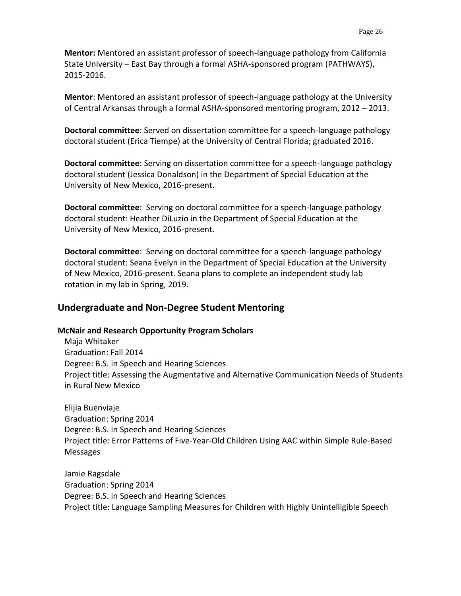**Mentor:** Mentored an assistant professor of speech-language pathology from California State University – East Bay through a formal ASHA-sponsored program (PATHWAYS), 2015-2016.

**Mentor**: Mentored an assistant professor of speech-language pathology at the University of Central Arkansas through a formal ASHA-sponsored mentoring program, 2012 – 2013.

**Doctoral committee**: Served on dissertation committee for a speech-language pathology doctoral student (Erica Tiempe) at the University of Central Florida; graduated 2016.

**Doctoral committee**: Serving on dissertation committee for a speech-language pathology doctoral student (Jessica Donaldson) in the Department of Special Education at the University of New Mexico, 2016-present.

**Doctoral committee**: Serving on doctoral committee for a speech-language pathology doctoral student: Heather DiLuzio in the Department of Special Education at the University of New Mexico, 2016-present.

**Doctoral committee**: Serving on doctoral committee for a speech-language pathology doctoral student: Seana Evelyn in the Department of Special Education at the University of New Mexico, 2016-present. Seana plans to complete an independent study lab rotation in my lab in Spring, 2019.

# **Undergraduate and Non-Degree Student Mentoring**

### **McNair and Research Opportunity Program Scholars**

Maja Whitaker Graduation: Fall 2014 Degree: B.S. in Speech and Hearing Sciences Project title: Assessing the Augmentative and Alternative Communication Needs of Students in Rural New Mexico

Elijia Buenviaje Graduation: Spring 2014 Degree: B.S. in Speech and Hearing Sciences Project title: Error Patterns of Five-Year-Old Children Using AAC within Simple Rule-Based Messages

Jamie Ragsdale Graduation: Spring 2014 Degree: B.S. in Speech and Hearing Sciences Project title: Language Sampling Measures for Children with Highly Unintelligible Speech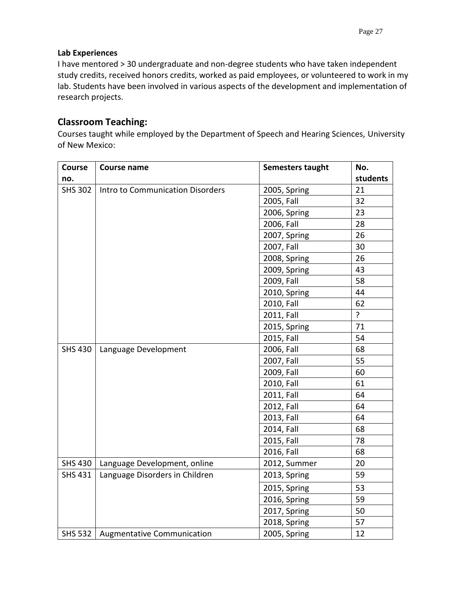### **Lab Experiences**

I have mentored > 30 undergraduate and non-degree students who have taken independent study credits, received honors credits, worked as paid employees, or volunteered to work in my lab. Students have been involved in various aspects of the development and implementation of research projects.

# **Classroom Teaching:**

Courses taught while employed by the Department of Speech and Hearing Sciences, University of New Mexico:

| Course         | Course name                      | Semesters taught | No.            |
|----------------|----------------------------------|------------------|----------------|
| no.            |                                  |                  | students       |
| <b>SHS 302</b> | Intro to Communication Disorders | 2005, Spring     | 21             |
|                |                                  | 2005, Fall       | 32             |
|                |                                  | 2006, Spring     | 23             |
|                |                                  | 2006, Fall       | 28             |
|                |                                  | 2007, Spring     | 26             |
|                |                                  | 2007, Fall       | 30             |
|                |                                  | 2008, Spring     | 26             |
|                |                                  | 2009, Spring     | 43             |
|                |                                  | 2009, Fall       | 58             |
|                |                                  | 2010, Spring     | 44             |
|                |                                  | 2010, Fall       | 62             |
|                |                                  | 2011, Fall       | $\overline{?}$ |
|                |                                  | 2015, Spring     | 71             |
|                |                                  | 2015, Fall       | 54             |
| <b>SHS 430</b> | Language Development             | 2006, Fall       | 68             |
|                |                                  | 2007, Fall       | 55             |
|                |                                  | 2009, Fall       | 60             |
|                |                                  | 2010, Fall       | 61             |
|                |                                  | 2011, Fall       | 64             |
|                |                                  | 2012, Fall       | 64             |
|                |                                  | 2013, Fall       | 64             |
|                |                                  | 2014, Fall       | 68             |
|                |                                  | 2015, Fall       | 78             |
|                |                                  | 2016, Fall       | 68             |
| <b>SHS 430</b> | Language Development, online     | 2012, Summer     | 20             |
| <b>SHS 431</b> | Language Disorders in Children   | 2013, Spring     | 59             |
|                |                                  | 2015, Spring     | 53             |
|                |                                  | 2016, Spring     | 59             |
|                |                                  | 2017, Spring     | 50             |
|                |                                  | 2018, Spring     | 57             |
| SHS 532        | Augmentative Communication       | 2005, Spring     | 12             |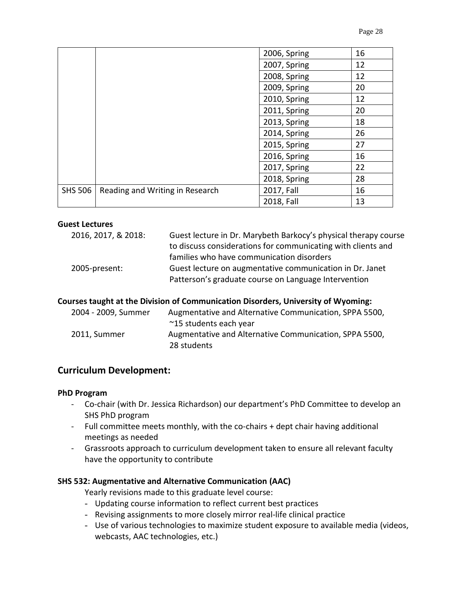|                |                                 | 2006, Spring | 16 |
|----------------|---------------------------------|--------------|----|
|                |                                 | 2007, Spring | 12 |
|                |                                 | 2008, Spring | 12 |
|                |                                 | 2009, Spring | 20 |
|                |                                 | 2010, Spring | 12 |
|                |                                 | 2011, Spring | 20 |
|                |                                 | 2013, Spring | 18 |
|                |                                 | 2014, Spring | 26 |
|                |                                 | 2015, Spring | 27 |
|                |                                 | 2016, Spring | 16 |
|                |                                 | 2017, Spring | 22 |
|                |                                 | 2018, Spring | 28 |
| <b>SHS 506</b> | Reading and Writing in Research | 2017, Fall   | 16 |
|                |                                 | 2018, Fall   | 13 |

#### **Guest Lectures**

| 2016, 2017, & 2018: | Guest lecture in Dr. Marybeth Barkocy's physical therapy course |
|---------------------|-----------------------------------------------------------------|
|                     | to discuss considerations for communicating with clients and    |
|                     | families who have communication disorders                       |
| 2005-present:       | Guest lecture on augmentative communication in Dr. Janet        |
|                     | Patterson's graduate course on Language Intervention            |

#### **Courses taught at the Division of Communication Disorders, University of Wyoming:**

| 2004 - 2009, Summer | Augmentative and Alternative Communication, SPPA 5500,                |
|---------------------|-----------------------------------------------------------------------|
|                     | ~15 students each year                                                |
| 2011. Summer        | Augmentative and Alternative Communication, SPPA 5500,<br>28 students |

### **Curriculum Development:**

#### **PhD Program**

- Co-chair (with Dr. Jessica Richardson) our department's PhD Committee to develop an SHS PhD program
- Full committee meets monthly, with the co-chairs + dept chair having additional meetings as needed
- Grassroots approach to curriculum development taken to ensure all relevant faculty have the opportunity to contribute

### **SHS 532: Augmentative and Alternative Communication (AAC)**

Yearly revisions made to this graduate level course:

- Updating course information to reflect current best practices
- Revising assignments to more closely mirror real-life clinical practice
- Use of various technologies to maximize student exposure to available media (videos, webcasts, AAC technologies, etc.)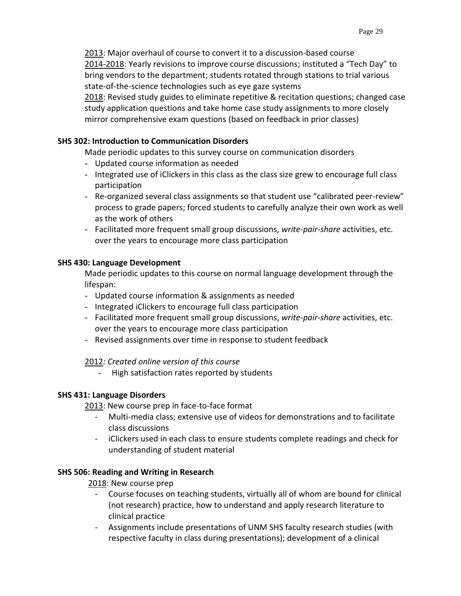2013: Major overhaul of course to convert it to a discussion-based course 2014-2018: Yearly revisions to improve course discussions; instituted a "Tech Day" to bring vendors to the department; students rotated through stations to trial various state-of-the-science technologies such as eye gaze systems

2018: Revised study guides to eliminate repetitive & recitation questions; changed case study application questions and take home case study assignments to more closely mirror comprehensive exam questions (based on feedback in prior classes)

### **SHS 302: Introduction to Communication Disorders**

Made periodic updates to this survey course on communication disorders

- Updated course information as needed
- Integrated use of iClickers in this class as the class size grew to encourage full class participation
- Re-organized several class assignments so that student use "calibrated peer-review" process to grade papers; forced students to carefully analyze their own work as well as the work of others
- Facilitated more frequent small group discussions, *write-pair-share* activities, etc. over the years to encourage more class participation

### **SHS 430: Language Development**

Made periodic updates to this course on normal language development through the lifespan:

- Updated course information & assignments as needed
- Integrated iClickers to encourage full class participation
- Facilitated more frequent small group discussions, *write-pair-share* activities, etc. over the years to encourage more class participation
- Revised assignments over time in response to student feedback

# 2012*: Created online version of this course*

- High satisfaction rates reported by students

# **SHS 431: Language Disorders**

2013: New course prep in face-to-face format

- Multi-media class; extensive use of videos for demonstrations and to facilitate class discussions
- iClickers used in each class to ensure students complete readings and check for understanding of student material

# **SHS 506: Reading and Writing in Research**

2018: New course prep

- Course focuses on teaching students, virtually all of whom are bound for clinical (not research) practice, how to understand and apply research literature to clinical practice
- Assignments include presentations of UNM SHS faculty research studies (with respective faculty in class during presentations); development of a clinical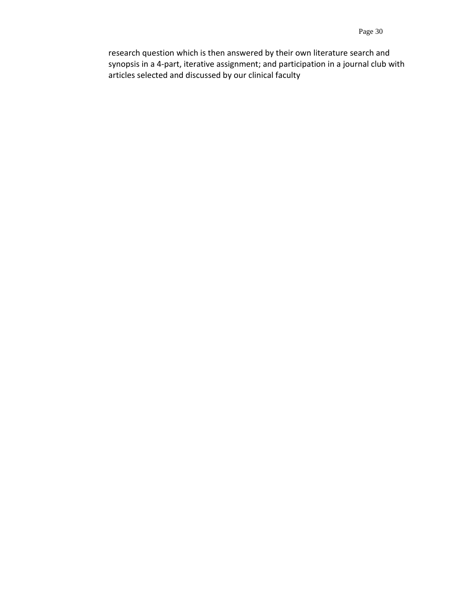research question which is then answered by their own literature search and synopsis in a 4-part, iterative assignment; and participation in a journal club with articles selected and discussed by our clinical faculty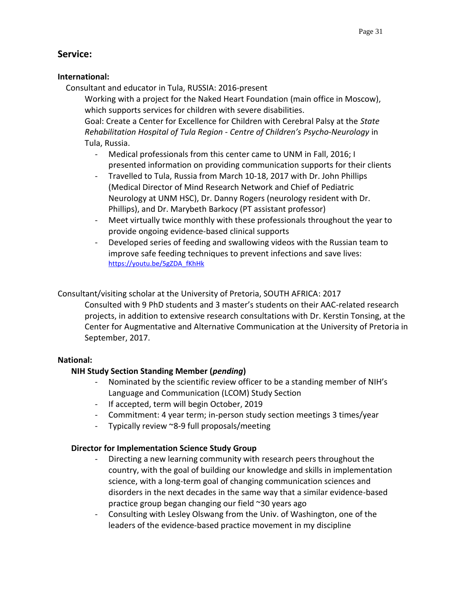# **Service:**

### **International:**

Consultant and educator in Tula, RUSSIA: 2016-present

Working with a project for the Naked Heart Foundation (main office in Moscow), which supports services for children with severe disabilities.

Goal: Create a Center for Excellence for Children with Cerebral Palsy at the *State Rehabilitation Hospital of Tula Region - Centre of Children's Psycho-Neurology* in Tula, Russia.

- Medical professionals from this center came to UNM in Fall, 2016; I presented information on providing communication supports for their clients
- Travelled to Tula, Russia from March 10-18, 2017 with Dr. John Phillips (Medical Director of Mind Research Network and Chief of Pediatric Neurology at UNM HSC), Dr. Danny Rogers (neurology resident with Dr. Phillips), and Dr. Marybeth Barkocy (PT assistant professor)
- Meet virtually twice monthly with these professionals throughout the year to provide ongoing evidence-based clinical supports
- Developed series of feeding and swallowing videos with the Russian team to improve safe feeding techniques to prevent infections and save lives: [https://youtu.be/5gZDA\\_fKhHk](https://youtu.be/5gZDA_fKhHk)

# Consultant/visiting scholar at the University of Pretoria, SOUTH AFRICA: 2017

Consulted with 9 PhD students and 3 master's students on their AAC-related research projects, in addition to extensive research consultations with Dr. Kerstin Tonsing, at the Center for Augmentative and Alternative Communication at the University of Pretoria in September, 2017.

# **National:**

# **NIH Study Section Standing Member (***pending***)**

- Nominated by the scientific review officer to be a standing member of NIH's Language and Communication (LCOM) Study Section
- If accepted, term will begin October, 2019
- Commitment: 4 year term; in-person study section meetings 3 times/year
- Typically review ~8-9 full proposals/meeting

# **Director for Implementation Science Study Group**

- Directing a new learning community with research peers throughout the country, with the goal of building our knowledge and skills in implementation science, with a long-term goal of changing communication sciences and disorders in the next decades in the same way that a similar evidence-based practice group began changing our field ~30 years ago
- Consulting with Lesley Olswang from the Univ. of Washington, one of the leaders of the evidence-based practice movement in my discipline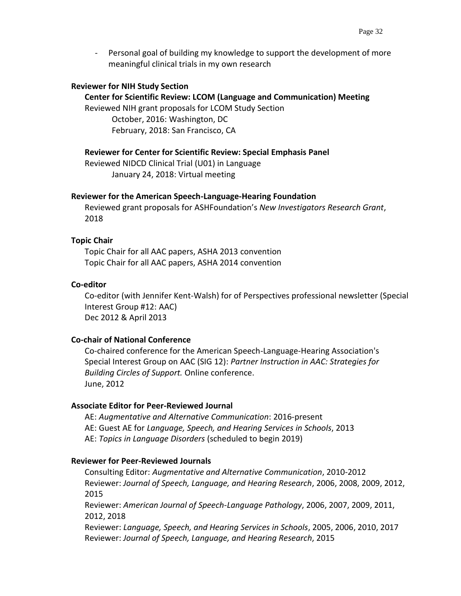- Personal goal of building my knowledge to support the development of more meaningful clinical trials in my own research

#### **Reviewer for NIH Study Section**

#### **Center for Scientific Review: LCOM (Language and Communication) Meeting**

Reviewed NIH grant proposals for LCOM Study Section October, 2016: Washington, DC February, 2018: San Francisco, CA

#### **Reviewer for Center for Scientific Review: Special Emphasis Panel**

Reviewed NIDCD Clinical Trial (U01) in Language January 24, 2018: Virtual meeting

#### **Reviewer for the American Speech-Language-Hearing Foundation**

Reviewed grant proposals for ASHFoundation's *New Investigators Research Grant*, 2018

#### **Topic Chair**

Topic Chair for all AAC papers, ASHA 2013 convention Topic Chair for all AAC papers, ASHA 2014 convention

#### **Co-editor**

Co-editor (with Jennifer Kent-Walsh) for of Perspectives professional newsletter (Special Interest Group #12: AAC) Dec 2012 & April 2013

#### **Co-chair of National Conference**

Co-chaired conference for the American Speech-Language-Hearing Association's Special Interest Group on AAC (SIG 12): *Partner Instruction in AAC: Strategies for Building Circles of Support.* Online conference. June, 2012

#### **Associate Editor for Peer-Reviewed Journal**

AE: *Augmentative and Alternative Communication*: 2016-present AE: Guest AE for *Language, Speech, and Hearing Services in Schools*, 2013 AE: *Topics in Language Disorders* (scheduled to begin 2019)

#### **Reviewer for Peer-Reviewed Journals**

Consulting Editor: *Augmentative and Alternative Communication*, 2010-2012 Reviewer: *Journal of Speech, Language, and Hearing Research*, 2006, 2008, 2009, 2012, 2015 Reviewer: *American Journal of Speech-Language Pathology*, 2006, 2007, 2009, 2011,

2012, 2018

Reviewer: *Language, Speech, and Hearing Services in Schools*, 2005, 2006, 2010, 2017 Reviewer: *Journal of Speech, Language, and Hearing Research*, 2015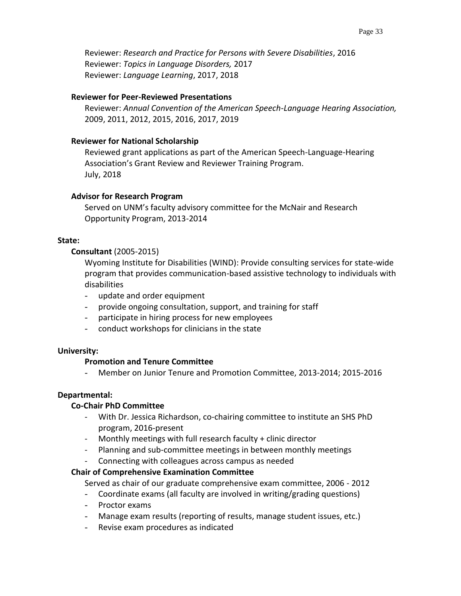Reviewer: *Research and Practice for Persons with Severe Disabilities*, 2016 Reviewer: *Topics in Language Disorders,* 2017 Reviewer: *Language Learning*, 2017, 2018

### **Reviewer for Peer-Reviewed Presentations**

Reviewer: *Annual Convention of the American Speech-Language Hearing Association,*  2009, 2011, 2012, 2015, 2016, 2017, 2019

### **Reviewer for National Scholarship**

Reviewed grant applications as part of the American Speech-Language-Hearing Association's Grant Review and Reviewer Training Program. July, 2018

### **Advisor for Research Program**

Served on UNM's faculty advisory committee for the McNair and Research Opportunity Program, 2013-2014

### **State:**

### **Consultant** (2005-2015)

Wyoming Institute for Disabilities (WIND): Provide consulting services for state-wide program that provides communication-based assistive technology to individuals with disabilities

- update and order equipment
- provide ongoing consultation, support, and training for staff
- participate in hiring process for new employees
- conduct workshops for clinicians in the state

#### **University:**

### **Promotion and Tenure Committee**

- Member on Junior Tenure and Promotion Committee, 2013-2014; 2015-2016

### **Departmental:**

### **Co-Chair PhD Committee**

- With Dr. Jessica Richardson, co-chairing committee to institute an SHS PhD program, 2016-present
- Monthly meetings with full research faculty  $+$  clinic director
- Planning and sub-committee meetings in between monthly meetings
- Connecting with colleagues across campus as needed

### **Chair of Comprehensive Examination Committee**

Served as chair of our graduate comprehensive exam committee, 2006 - 2012

- Coordinate exams (all faculty are involved in writing/grading questions)
- Proctor exams
- Manage exam results (reporting of results, manage student issues, etc.)
- Revise exam procedures as indicated